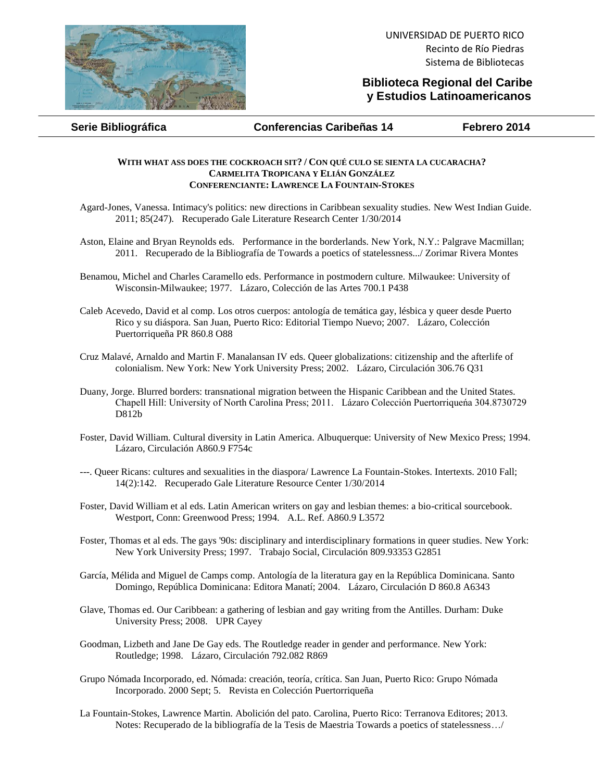

## **Biblioteca Regional del Caribe y Estudios Latinoamericanos**

**Serie Bibliográfica Conferencias Caribeñas 14 Febrero 2014**

## **WITH WHAT ASS DOES THE COCKROACH SIT? / CON QUÉ CULO SE SIENTA LA CUCARACHA? CARMELITA TROPICANA Y ELIÁN GONZÁLEZ CONFERENCIANTE: LAWRENCE LA FOUNTAIN-STOKES**

- Agard-Jones, Vanessa. Intimacy's politics: new directions in Caribbean sexuality studies. New West Indian Guide. 2011; 85(247). Recuperado Gale Literature Research Center 1/30/2014
- Aston, Elaine and Bryan Reynolds eds. Performance in the borderlands. New York, N.Y.: Palgrave Macmillan; 2011. Recuperado de la Bibliografía de Towards a poetics of statelessness.../ Zorimar Rivera Montes
- Benamou, Michel and Charles Caramello eds. Performance in postmodern culture. Milwaukee: University of Wisconsin-Milwaukee; 1977. Lázaro, Colección de las Artes 700.1 P438
- Caleb Acevedo, David et al comp. Los otros cuerpos: antología de temática gay, lésbica y queer desde Puerto Rico y su diáspora. San Juan, Puerto Rico: Editorial Tiempo Nuevo; 2007. Lázaro, Colección Puertorriqueña PR 860.8 O88
- Cruz Malavé, Arnaldo and Martin F. Manalansan IV eds. Queer globalizations: citizenship and the afterlife of colonialism. New York: New York University Press; 2002. Lázaro, Circulación 306.76 Q31
- Duany, Jorge. Blurred borders: transnational migration between the Hispanic Caribbean and the United States. Chapell Hill: University of North Carolina Press; 2011. Lázaro Colección Puertorriqueńa 304.8730729 D812b
- Foster, David William. Cultural diversity in Latin America. Albuquerque: University of New Mexico Press; 1994. Lázaro, Circulación A860.9 F754c
- ---. Queer Ricans: cultures and sexualities in the diaspora/ Lawrence La Fountain-Stokes. Intertexts. 2010 Fall; 14(2):142. Recuperado Gale Literature Resource Center 1/30/2014
- Foster, David William et al eds. Latin American writers on gay and lesbian themes: a bio-critical sourcebook. Westport, Conn: Greenwood Press; 1994. A.L. Ref. A860.9 L3572
- Foster, Thomas et al eds. The gays '90s: disciplinary and interdisciplinary formations in queer studies. New York: New York University Press; 1997. Trabajo Social, Circulación 809.93353 G2851
- García, Mélida and Miguel de Camps comp. Antología de la literatura gay en la República Dominicana. Santo Domingo, República Dominicana: Editora Manatí; 2004. Lázaro, Circulación D 860.8 A6343
- Glave, Thomas ed. Our Caribbean: a gathering of lesbian and gay writing from the Antilles. Durham: Duke University Press; 2008. UPR Cayey
- Goodman, Lizbeth and Jane De Gay eds. The Routledge reader in gender and performance. New York: Routledge; 1998. Lázaro, Circulación 792.082 R869
- Grupo Nómada Incorporado, ed. Nómada: creación, teoría, crítica. San Juan, Puerto Rico: Grupo Nómada Incorporado. 2000 Sept; 5. Revista en Colección Puertorriqueña
- La Fountain-Stokes, Lawrence Martin. Abolición del pato. Carolina, Puerto Rico: Terranova Editores; 2013. Notes: Recuperado de la bibliografía de la Tesis de Maestria Towards a poetics of statelessness…/